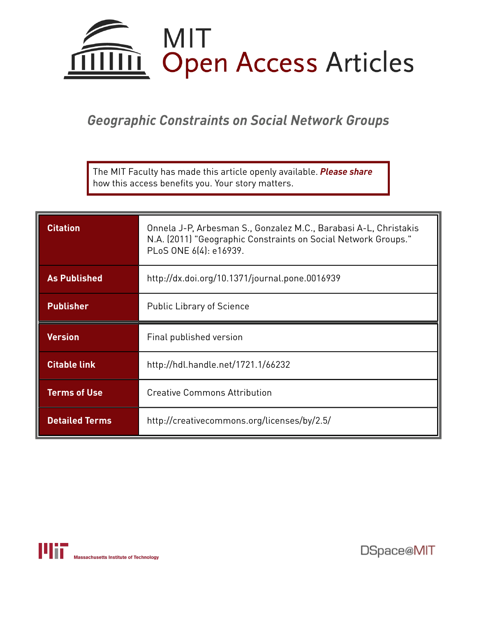

# *Geographic Constraints on Social Network Groups*

The MIT Faculty has made this article openly available. *[Please](https://libraries.mit.edu/forms/dspace-oa-articles.html) share* how this access benefits you. Your story matters.

| <b>Citation</b>       | Onnela J-P, Arbesman S., Gonzalez M.C., Barabasi A-L, Christakis<br>N.A. (2011) "Geographic Constraints on Social Network Groups."<br>PLoS ONE 6(4): e16939. |
|-----------------------|--------------------------------------------------------------------------------------------------------------------------------------------------------------|
| <b>As Published</b>   | http://dx.doi.org/10.1371/journal.pone.0016939                                                                                                               |
| <b>Publisher</b>      | <b>Public Library of Science</b>                                                                                                                             |
| <b>Version</b>        | Final published version                                                                                                                                      |
| <b>Citable link</b>   | http://hdl.handle.net/1721.1/66232                                                                                                                           |
| <b>Terms of Use</b>   | <b>Creative Commons Attribution</b>                                                                                                                          |
| <b>Detailed Terms</b> | http://creativecommons.org/licenses/by/2.5/                                                                                                                  |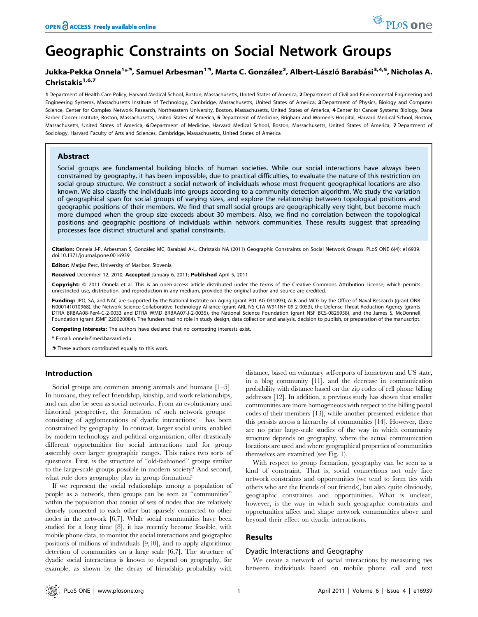# Geographic Constraints on Social Network Groups

# Jukka-Pekka Onnela<sup>1<sub>\*</sub>9</sup>, Samuel Arbesman<sup>19</sup>, Marta C. González<sup>2</sup>, Albert-László Barabási<sup>3,4,5</sup>, Nicholas A. Christakis<sup>1,6,7</sup>

1 Department of Health Care Policy, Harvard Medical School, Boston, Massachusetts, United States of America, 2 Department of Civil and Environmental Engineering and Engineering Systems, Massachusetts Institute of Technology, Cambridge, Massachusetts, United States of America, 3 Department of Physics, Biology and Computer Science, Center for Complex Network Research, Northeastern University, Boston, Massachusetts, United States of America, 4 Center for Cancer Systems Biology, Dana Farber Cancer Institute, Boston, Massachusetts, United States of America, 5 Department of Medicine, Brigham and Women's Hospital, Harvard Medical School, Boston, Massachusetts, United States of America, 6 Department of Medicine, Harvard Medical School, Boston, Massachusetts, United States of America, 7 Department of Sociology, Harvard Faculty of Arts and Sciences, Cambridge, Massachusetts, United States of America

# Abstract

Social groups are fundamental building blocks of human societies. While our social interactions have always been constrained by geography, it has been impossible, due to practical difficulties, to evaluate the nature of this restriction on social group structure. We construct a social network of individuals whose most frequent geographical locations are also known. We also classify the individuals into groups according to a community detection algorithm. We study the variation of geographical span for social groups of varying sizes, and explore the relationship between topological positions and geographic positions of their members. We find that small social groups are geographically very tight, but become much more clumped when the group size exceeds about 30 members. Also, we find no correlation between the topological positions and geographic positions of individuals within network communities. These results suggest that spreading processes face distinct structural and spatial constraints.

Citation: Onnela J-P, Arbesman S, González MC, Barabási A-L, Christakis NA (2011) Geographic Constraints on Social Network Groups. PLoS ONE 6(4): e16939. doi:10.1371/journal.pone.0016939

Editor: Matjaz Perc, University of Maribor, Slovenia

Received December 12, 2010; Accepted January 6, 2011; Published April 5, 2011

**Copyright:** © 2011 Onnela et al. This is an open-access article distributed under the terms of the Creative Commons Attribution License, which permits unrestricted use, distribution, and reproduction in any medium, provided the original author and source are credited.

Funding: JPO, SA, and NAC are supported by the National Institute on Aging (grant P01 AG-031093); ALB and MCG by the Office of Naval Research (grant ONR N000141010968), the Network Science Collaborative Technology Alliance (grant ARL NS-CTA W911NF-09-2-0053), the Defense Threat Reduction Agency (grants DTRA BRBAA08-Per4-C-2-0033 and DTRA WMD BRBAA07-J-2-0035), the National Science Foundation (grant NSF BCS-0826958), and the James S. McDonnell Foundation (grant JSMF 220020084). The funders had no role in study design, data collection and analysis, decision to publish, or preparation of the manuscript.

Competing Interests: The authors have declared that no competing interests exist.

\* E-mail: onnela@med.harvard.edu

**.** These authors contributed equally to this work.

### Introduction

Social groups are common among animals and humans [1–5]. In humans, they reflect friendship, kinship, and work relationships, and can also be seen as social networks. From an evolutionary and historical perspective, the formation of such network groups – consisting of agglomerations of dyadic interactions – has been constrained by geography. In contrast, larger social units, enabled by modern technology and political organization, offer drastically different opportunities for social interactions and for group assembly over larger geographic ranges. This raises two sorts of questions. First, is the structure of ''old-fashioned'' groups similar to the large-scale groups possible in modern society? And second, what role does geography play in group formation?

If we represent the social relationships among a population of people as a network, then groups can be seen as ''communities'' within the population that consist of sets of nodes that are relatively densely connected to each other but sparsely connected to other nodes in the network [6,7]. While social communities have been studied for a long time [8], it has recently become feasible, with mobile phone data, to monitor the social interactions and geographic positions of millions of individuals [9,10], and to apply algorithmic detection of communities on a large scale [6,7]. The structure of dyadic social interactions is known to depend on geography, for example, as shown by the decay of friendship probability with

distance, based on voluntary self-reports of hometown and US state, in a blog community [11], and the decrease in communication probability with distance based on the zip codes of cell phone billing addresses [12]. In addition, a previous study has shown that smaller communities are more homogeneous with respect to the billing postal codes of their members [13], while another presented evidence that this persists across a hierarchy of communities [14]. However, there are no prior large-scale studies of the way in which community structure depends on geography, where the actual communication locations are used and where geographical properties of communities themselves are examined (see Fig. 1).

With respect to group formation, geography can be seen as a kind of constraint. That is, social connections not only face network constraints and opportunities (we tend to form ties with others who are the friends of our friends), but also, quite obviously, geographic constraints and opportunities. What is unclear, however, is the way in which such geographic constraints and opportunities affect and shape network communities above and beyond their effect on dyadic interactions.

#### Results

#### Dyadic Interactions and Geography

We create a network of social interactions by measuring ties between individuals based on mobile phone call and text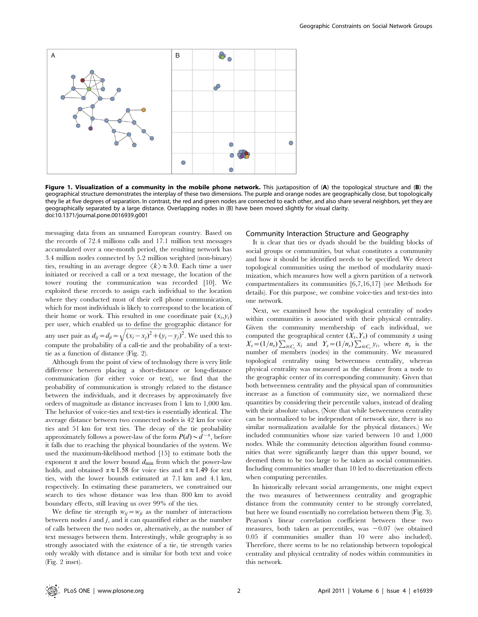

Figure 1. Visualization of a community in the mobile phone network. This juxtaposition of (A) the topological structure and (B) the geographical structure demonstrates the interplay of these two dimensions. The purple and orange nodes are geographically close, but topologically they lie at five degrees of separation. In contrast, the red and green nodes are connected to each other, and also share several neighbors, yet they are geographically separated by a large distance. Overlapping nodes in (B) have been moved slightly for visual clarity. doi:10.1371/journal.pone.0016939.g001

messaging data from an unnamed European country. Based on the records of 72.4 millions calls and 17.1 million text messages accumulated over a one-month period, the resulting network has 3.4 million nodes connected by 5.2 million weighted (non-binary) ties, resulting in an average degree  $\langle k \rangle \approx 3.0$ . Each time a user initiated or received a call or a text message, the location of the tower routing the communication was recorded [10]. We exploited these records to assign each individual to the location where they conducted most of their cell phone communication, which for most individuals is likely to correspond to the location of their home or work. This resulted in one coordinate pair  $(x_i, y_i)$ per user, which enabled us to define the geographic distance for any user pair as  $d_{ij} = d_{ji} = \sqrt{(x_i - x_j)^2 + (y_i - y_j)^2}$ . We used this to compute the probability of a call-tie and the probability of a texttie as a function of distance (Fig. 2).

Although from the point of view of technology there is very little difference between placing a short-distance or long-distance communication (for either voice or text), we find that the probability of communication is strongly related to the distance between the individuals, and it decreases by approximately five orders of magnitude as distance increases from 1 km to 1,000 km. The behavior of voice-ties and text-ties is essentially identical. The average distance between two connected nodes is 42 km for voice ties and 51 km for text ties. The decay of the tie probability approximately follows a power-law of the form  $P(d) \sim d^{-\alpha}$ , before it falls due to reaching the physical boundaries of the system. We used the maximum-likelihood method [15] to estimate both the exponent  $\alpha$  and the lower bound  $d_{\text{min}}$  from which the power-law holds, and obtained  $\alpha \approx 1.58$  for voice ties and  $\alpha \approx 1.49$  for text ties, with the lower bounds estimated at 7.1 km and 4.1 km, respectively. In estimating these parameters, we constrained our search to ties whose distance was less than 800 km to avoid boundary effects, still leaving us over 99% of the ties.

We define tie strength  $w_{ii} = w_{ii}$  as the number of interactions between nodes  $i$  and  $j$ , and it can quantified either as the number of calls between the two nodes or, alternatively, as the number of text messages between them. Interestingly, while geography is so strongly associated with the existence of a tie, tie strength varies only weakly with distance and is similar for both text and voice (Fig. 2 inset).

#### Community Interaction Structure and Geography

It is clear that ties or dyads should be the building blocks of social groups or communities, but what constitutes a community and how it should be identified needs to be specified. We detect topological communities using the method of modularity maximization, which measures how well a given partition of a network compartmentalizes its communities [6,7,16,17] (see Methods for details). For this purpose, we combine voice-ties and text-ties into one network.

Next, we examined how the topological centrality of nodes within communities is associated with their physical centrality. Given the community membership of each individual, we computed the geographical center  $(X_s, Y_s)$  of community s using  $X_s = (1/n_s) \sum_{i \in C_s} x_i$  and  $Y_s = (1/n_s) \sum_{i \in C_s} y_i$ , where  $n_s$  is the number of members (nodes) in the community. We measured topological centrality using betweenness centrality, whereas physical centrality was measured as the distance from a node to the geographic center of its corresponding community. Given that both betweenness centrality and the physical span of communities increase as a function of community size, we normalized these quantities by considering their percentile values, instead of dealing with their absolute values. (Note that while betweenness centrality can be normalized to be independent of network size, there is no similar normalization available for the physical distances.) We included communities whose size varied between 10 and 1,000 nodes. While the community detection algorithm found communities that were significantly larger than this upper bound, we deemed them to be too large to be taken as social communities. Including communities smaller than 10 led to discretization effects when computing percentiles.

In historically relevant social arrangements, one might expect the two measures of betweenness centrality and geographic distance from the community center to be strongly correlated, but here we found essentially no correlation between them (Fig. 3). Pearson's linear correlation coefficient between these two measures, both taken as percentiles, was  $-0.07$  (we obtained 0.05 if communities smaller than 10 were also included). Therefore, there seems to be no relationship between topological centrality and physical centrality of nodes within communities in this network.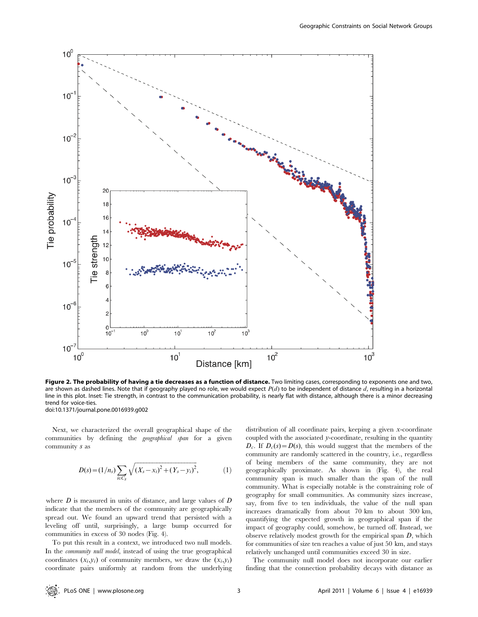

Figure 2. The probability of having a tie decreases as a function of distance. Two limiting cases, corresponding to exponents one and two, are shown as dashed lines. Note that if geography played no role, we would expect  $P(d)$  to be independent of distance d, resulting in a horizontal line in this plot. Inset: Tie strength, in contrast to the communication probability, is nearly flat with distance, although there is a minor decreasing trend for voice-ties. doi:10.1371/journal.pone.0016939.g002

Next, we characterized the overall geographical shape of the communities by defining the geographical span for a given community s as

$$
D(s) = (1/n_s) \sum_{i \in C_s} \sqrt{(X_s - x_i)^2 + (Y_s - y_i)^2},
$$
 (1)

where  $D$  is measured in units of distance, and large values of  $D$ indicate that the members of the community are geographically spread out. We found an upward trend that persisted with a leveling off until, surprisingly, a large bump occurred for communities in excess of 30 nodes (Fig. 4).

To put this result in a context, we introduced two null models. In the *community null model*, instead of using the true geographical coordinates  $(x_i, y_i)$  of community members, we draw the  $(x_i, y_i)$ coordinate pairs uniformly at random from the underlying distribution of all coordinate pairs, keeping a given x-coordinate coupled with the associated y-coordinate, resulting in the quantity  $D_c$ . If  $D_c(s) = D(s)$ , this would suggest that the members of the community are randomly scattered in the country, i.e., regardless of being members of the same community, they are not geographically proximate. As shown in (Fig. 4), the real community span is much smaller than the span of the null community. What is especially notable is the constraining role of geography for small communities. As community sizes increase, say, from five to ten individuals, the value of the null span increases dramatically from about 70 km to about 300 km, quantifying the expected growth in geographical span if the impact of geography could, somehow, be turned off. Instead, we observe relatively modest growth for the empirical span  $D$ , which for communities of size ten reaches a value of just 50 km, and stays relatively unchanged until communities exceed 30 in size.

The community null model does not incorporate our earlier finding that the connection probability decays with distance as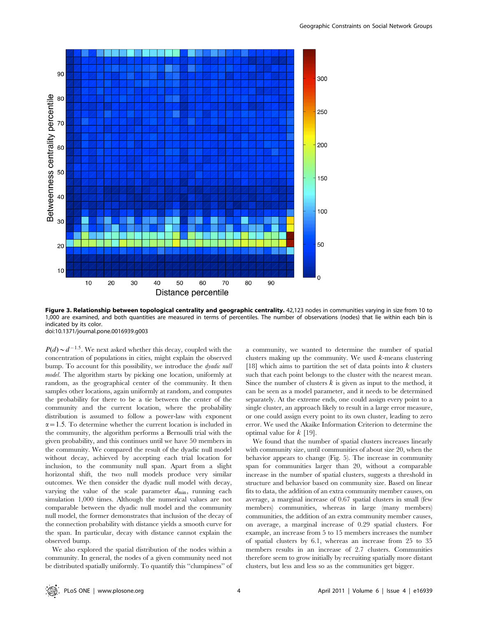

Figure 3. Relationship between topological centrality and geographic centrality. 42,123 nodes in communities varying in size from 10 to 1,000 are examined, and both quantities are measured in terms of percentiles. The number of observations (nodes) that lie within each bin is indicated by its color. doi:10.1371/journal.pone.0016939.g003

 $P(d) \sim d^{-1.5}$ . We next asked whether this decay, coupled with the concentration of populations in cities, might explain the observed bump. To account for this possibility, we introduce the *dyadic null* model. The algorithm starts by picking one location, uniformly at random, as the geographical center of the community. It then samples other locations, again uniformly at random, and computes the probability for there to be a tie between the center of the community and the current location, where the probability distribution is assumed to follow a power-law with exponent  $\alpha$  = 1.5. To determine whether the current location is included in the community, the algorithm performs a Bernoulli trial with the given probability, and this continues until we have 50 members in the community. We compared the result of the dyadic null model without decay, achieved by accepting each trial location for inclusion, to the community null span. Apart from a slight horizontal shift, the two null models produce very similar outcomes. We then consider the dyadic null model with decay, varying the value of the scale parameter  $d_{\text{min}}$ , running each simulation 1,000 times. Although the numerical values are not comparable between the dyadic null model and the community null model, the former demonstrates that inclusion of the decay of the connection probability with distance yields a smooth curve for the span. In particular, decay with distance cannot explain the observed bump.

We also explored the spatial distribution of the nodes within a community. In general, the nodes of a given community need not be distributed spatially uniformly. To quantify this ''clumpiness'' of a community, we wanted to determine the number of spatial clusters making up the community. We used  $k$ -means clustering [18] which aims to partition the set of data points into  $k$  clusters such that each point belongs to the cluster with the nearest mean. Since the number of clusters  $k$  is given as input to the method, it can be seen as a model parameter, and it needs to be determined separately. At the extreme ends, one could assign every point to a single cluster, an approach likely to result in a large error measure, or one could assign every point to its own cluster, leading to zero error. We used the Akaike Information Criterion to determine the optimal value for  $k$  [19].

We found that the number of spatial clusters increases linearly with community size, until communities of about size 20, when the behavior appears to change (Fig. 5). The increase in community span for communities larger than 20, without a comparable increase in the number of spatial clusters, suggests a threshold in structure and behavior based on community size. Based on linear fits to data, the addition of an extra community member causes, on average, a marginal increase of 0.67 spatial clusters in small (few members) communities, whereas in large (many members) communities, the addition of an extra community member causes, on average, a marginal increase of 0.29 spatial clusters. For example, an increase from 5 to 15 members increases the number of spatial clusters by 6.1, whereas an increase from 25 to 35 members results in an increase of 2.7 clusters. Communities therefore seem to grow initially by recruiting spatially more distant clusters, but less and less so as the communities get bigger.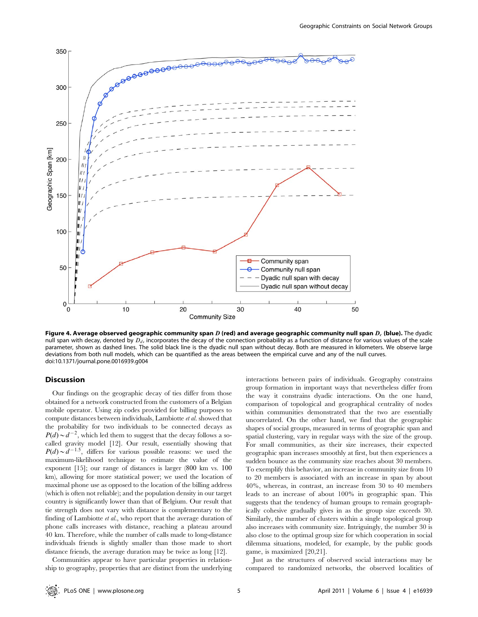

Figure 4. Average observed geographic community span D (red) and average geographic community null span  $D_c$  (blue). The dyadic null span with decay, denoted by  $D_d$ , incorporates the decay of the connection probability as a function of distance for various values of the scale parameter, shown as dashed lines. The solid black line is the dyadic null span without decay. Both are measured in kilometers. We observe large deviations from both null models, which can be quantified as the areas between the empirical curve and any of the null curves. doi:10.1371/journal.pone.0016939.g004

#### Discussion

Our findings on the geographic decay of ties differ from those obtained for a network constructed from the customers of a Belgian mobile operator. Using zip codes provided for billing purposes to compute distances between individuals, Lambiotte et al. showed that the probability for two individuals to be connected decays as  $P(d) \sim d^{-2}$ , which led them to suggest that the decay follows a socalled gravity model [12]. Our result, essentially showing that  $P(d) \sim d^{-1.5}$ , differs for various possible reasons: we used the maximum-likelihood technique to estimate the value of the exponent [15]; our range of distances is larger (800 km vs. 100 km), allowing for more statistical power; we used the location of maximal phone use as opposed to the location of the billing address (which is often not reliable); and the population density in our target country is significantly lower than that of Belgium. Our result that tie strength does not vary with distance is complementary to the finding of Lambiotte et al., who report that the average duration of phone calls increases with distance, reaching a plateau around 40 km. Therefore, while the number of calls made to long-distance individuals friends is slightly smaller than those made to short distance friends, the average duration may be twice as long [12].

Communities appear to have particular properties in relationship to geography, properties that are distinct from the underlying interactions between pairs of individuals. Geography constrains group formation in important ways that nevertheless differ from the way it constrains dyadic interactions. On the one hand, comparison of topological and geographical centrality of nodes within communities demonstrated that the two are essentially uncorrelated. On the other hand, we find that the geographic shapes of social groups, measured in terms of geographic span and spatial clustering, vary in regular ways with the size of the group. For small communities, as their size increases, their expected geographic span increases smoothly at first, but then experiences a sudden bounce as the community size reaches about 30 members. To exemplify this behavior, an increase in community size from 10 to 20 members is associated with an increase in span by about 40%, whereas, in contrast, an increase from 30 to 40 members leads to an increase of about 100% in geographic span. This suggests that the tendency of human groups to remain geographically cohesive gradually gives in as the group size exceeds 30. Similarly, the number of clusters within a single topological group also increases with community size. Intriguingly, the number 30 is also close to the optimal group size for which cooperation in social dilemma situations, modeled, for example, by the public goods game, is maximized [20,21].

Just as the structures of observed social interactions may be compared to randomized networks, the observed localities of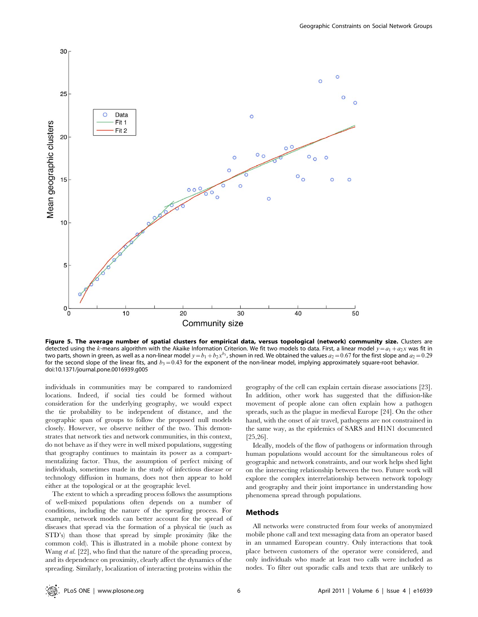

Figure 5. The average number of spatial clusters for empirical data, versus topological (network) community size. Clusters are detected using the k-means algorithm with the Akaike Information Criterion. We fit two models to data. First, a linear model  $y=a_1+a_2x$  was fit in two parts, shown in green, as well as a non-linear model  $y=b_1+b_2x^{b_3}$ , shown in red. We obtained the values  $a_2=0.67$  for the first slope and  $a_2=0.29$ for the second slope of the linear fits, and  $b_3=0.43$  for the exponent of the non-linear model, implying approximately square-root behavior. doi:10.1371/journal.pone.0016939.g005

individuals in communities may be compared to randomized locations. Indeed, if social ties could be formed without consideration for the underlying geography, we would expect the tie probability to be independent of distance, and the geographic span of groups to follow the proposed null models closely. However, we observe neither of the two. This demonstrates that network ties and network communities, in this context, do not behave as if they were in well mixed populations, suggesting that geography continues to maintain its power as a compartmentalizing factor. Thus, the assumption of perfect mixing of individuals, sometimes made in the study of infectious disease or technology diffusion in humans, does not then appear to hold either at the topological or at the geographic level.

The extent to which a spreading process follows the assumptions of well-mixed populations often depends on a number of conditions, including the nature of the spreading process. For example, network models can better account for the spread of diseases that spread via the formation of a physical tie (such as STD's) than those that spread by simple proximity (like the common cold). This is illustrated in a mobile phone context by Wang *et al.* [22], who find that the nature of the spreading process, and its dependence on proximity, clearly affect the dynamics of the spreading. Similarly, localization of interacting proteins within the

geography of the cell can explain certain disease associations [23]. In addition, other work has suggested that the diffusion-like movement of people alone can often explain how a pathogen spreads, such as the plague in medieval Europe [24]. On the other hand, with the onset of air travel, pathogens are not constrained in the same way, as the epidemics of SARS and H1N1 documented [25,26].

Ideally, models of the flow of pathogens or information through human populations would account for the simultaneous roles of geographic and network constraints, and our work helps shed light on the intersecting relationship between the two. Future work will explore the complex interrelationship between network topology and geography and their joint importance in understanding how phenomena spread through populations.

## Methods

All networks were constructed from four weeks of anonymized mobile phone call and text messaging data from an operator based in an unnamed European country. Only interactions that took place between customers of the operator were considered, and only individuals who made at least two calls were included as nodes. To filter out sporadic calls and texts that are unlikely to